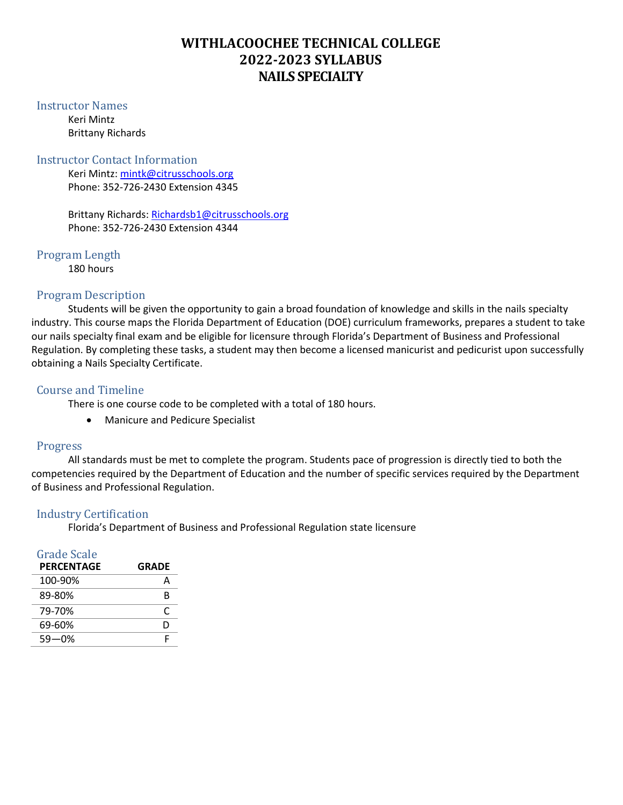# **WITHLACOOCHEE TECHNICAL COLLEGE 2022-2023 SYLLABUS NAILS SPECIALTY**

#### Instructor Names

Keri Mintz Brittany Richards

### Instructor Contact Information

Keri Mintz: [mintk@citrusschools.org](mailto:mintk@citrusschools.org)  Phone: 352-726-2430 Extension 4345

Brittany Richards: [Richardsb1@citrusschools.org](mailto:Richardsb1@citrusschools.org) Phone: 352-726-2430 Extension 4344

Program Length 180 hours

# Program Description

Students will be given the opportunity to gain a broad foundation of knowledge and skills in the nails specialty industry. This course maps the Florida Department of Education (DOE) curriculum frameworks, prepares a student to take our nails specialty final exam and be eligible for licensure through Florida's Department of Business and Professional Regulation. By completing these tasks, a student may then become a licensed manicurist and pedicurist upon successfully obtaining a Nails Specialty Certificate.

# Course and Timeline

There is one course code to be completed with a total of 180 hours.

• Manicure and Pedicure Specialist

# Progress

All standards must be met to complete the program. Students pace of progression is directly tied to both the competencies required by the Department of Education and the number of specific services required by the Department of Business and Professional Regulation.

# Industry Certification

Florida's Department of Business and Professional Regulation state licensure

| Grade Scale       |              |
|-------------------|--------------|
| <b>PERCENTAGE</b> | <b>GRADE</b> |
| 100-90%           | Α            |
| 89-80%            | R            |
| 79-70%            | r            |
| 69-60%            | D            |
| 59—0%             |              |